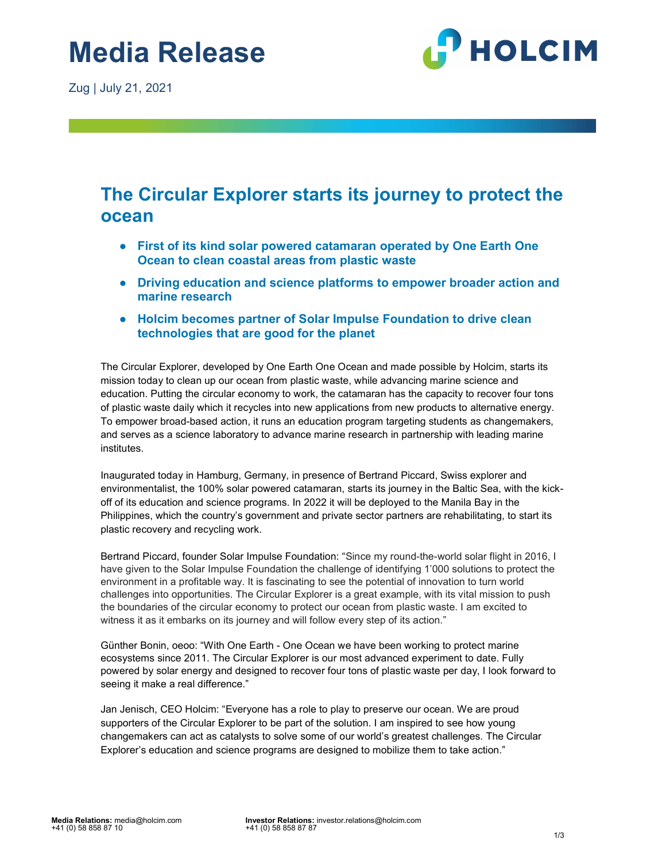Zug | July 21, 2021



# The Circular Explorer starts its journey to protect the ocean

- First of its kind solar powered catamaran operated by One Earth One Ocean to clean coastal areas from plastic waste
- Driving education and science platforms to empower broader action and marine research
- Holcim becomes partner of Solar Impulse Foundation to drive clean technologies that are good for the planet

The Circular Explorer, developed by One Earth One Ocean and made possible by Holcim, starts its mission today to clean up our ocean from plastic waste, while advancing marine science and education. Putting the circular economy to work, the catamaran has the capacity to recover four tons of plastic waste daily which it recycles into new applications from new products to alternative energy. To empower broad-based action, it runs an education program targeting students as changemakers, and serves as a science laboratory to advance marine research in partnership with leading marine institutes.

Inaugurated today in Hamburg, Germany, in presence of Bertrand Piccard, Swiss explorer and environmentalist, the 100% solar powered catamaran, starts its journey in the Baltic Sea, with the kickoff of its education and science programs. In 2022 it will be deployed to the Manila Bay in the Philippines, which the country's government and private sector partners are rehabilitating, to start its plastic recovery and recycling work.

Bertrand Piccard, founder Solar Impulse Foundation: "Since my round-the-world solar flight in 2016, I have given to the Solar Impulse Foundation the challenge of identifying 1'000 solutions to protect the environment in a profitable way. It is fascinating to see the potential of innovation to turn world challenges into opportunities. The Circular Explorer is a great example, with its vital mission to push the boundaries of the circular economy to protect our ocean from plastic waste. I am excited to witness it as it embarks on its journey and will follow every step of its action."

Günther Bonin, oeoo: "With One Earth - One Ocean we have been working to protect marine ecosystems since 2011. The Circular Explorer is our most advanced experiment to date. Fully powered by solar energy and designed to recover four tons of plastic waste per day, I look forward to seeing it make a real difference."

Jan Jenisch, CEO Holcim: "Everyone has a role to play to preserve our ocean. We are proud supporters of the Circular Explorer to be part of the solution. I am inspired to see how young changemakers can act as catalysts to solve some of our world's greatest challenges. The Circular Explorer's education and science programs are designed to mobilize them to take action."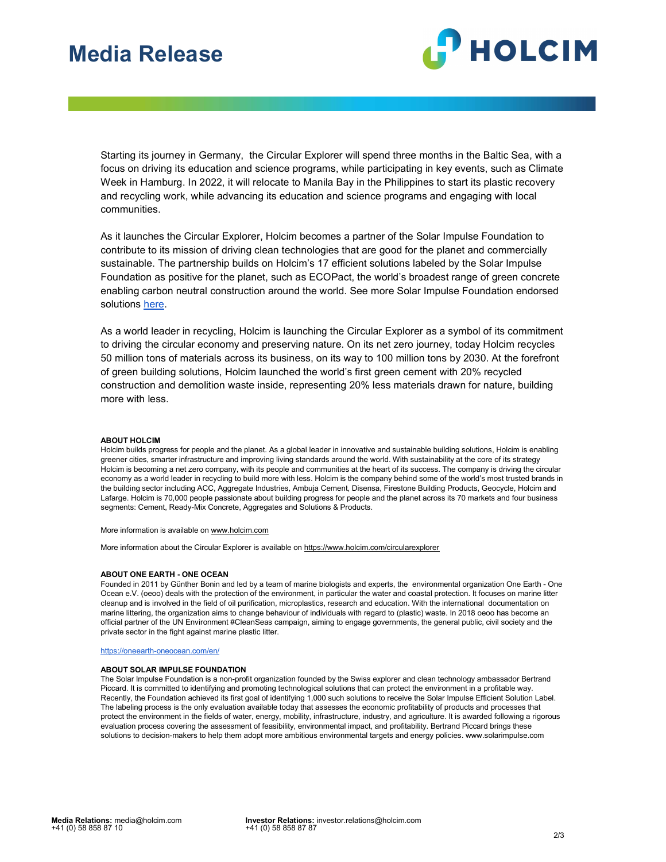# Media Release

Media Release



Starting its journey in Germany, the Circular Explorer will spend three months in the Baltic Sea, with a focus on driving its education and science programs, while participating in key events, such as Climate Week in Hamburg. In 2022, it will relocate to Manila Bay in the Philippines to start its plastic recovery and recycling work, while advancing its education and science programs and engaging with local communities.

As it launches the Circular Explorer, Holcim becomes a partner of the Solar Impulse Foundation to contribute to its mission of driving clean technologies that are good for the planet and commercially sustainable. The partnership builds on Holcim's 17 efficient solutions labeled by the Solar Impulse Foundation as positive for the planet, such as ECOPact, the world's broadest range of green concrete enabling carbon neutral construction around the world. See more Solar Impulse Foundation endorsed solutions here.

As a world leader in recycling, Holcim is launching the Circular Explorer as a symbol of its commitment to driving the circular economy and preserving nature. On its net zero journey, today Holcim recycles 50 million tons of materials across its business, on its way to 100 million tons by 2030. At the forefront of green building solutions, Holcim launched the world's first green cement with 20% recycled construction and demolition waste inside, representing 20% less materials drawn for nature, building more with less.

## ABOUT HOLCIM

Holcim builds progress for people and the planet. As a global leader in innovative and sustainable building solutions, Holcim is enabling greener cities, smarter infrastructure and improving living standards around the world. With sustainability at the core of its strategy Holcim is becoming a net zero company, with its people and communities at the heart of its success. The company is driving the circular economy as a world leader in recycling to build more with less. Holcim is the company behind some of the world's most trusted brands in the building sector including ACC, Aggregate Industries, Ambuja Cement, Disensa, Firestone Building Products, Geocycle, Holcim and Lafarge. Holcim is 70,000 people passionate about building progress for people and the planet across its 70 markets and four business segments: Cement, Ready-Mix Concrete, Aggregates and Solutions & Products.

#### More information is available on www.holcim.com

More information about the Circular Explorer is available on https://www.holcim.com/circularexplorer

#### ABOUT ONE EARTH - ONE OCEAN

Founded in 2011 by Günther Bonin and led by a team of marine biologists and experts, the environmental organization One Earth - One Ocean e.V. (oeoo) deals with the protection of the environment, in particular the water and coastal protection. It focuses on marine litter cleanup and is involved in the field of oil purification, microplastics, research and education. With the international documentation on marine littering, the organization aims to change behaviour of individuals with regard to (plastic) waste. In 2018 oeoo has become an official partner of the UN Environment #CleanSeas campaign, aiming to engage governments, the general public, civil society and the private sector in the fight against marine plastic litter.

#### https://oneearth-oneocean.com/en/

### ABOUT SOLAR IMPULSE FOUNDATION

The Solar Impulse Foundation is a non-profit organization founded by the Swiss explorer and clean technology ambassador Bertrand Piccard. It is committed to identifying and promoting technological solutions that can protect the environment in a profitable way. Recently, the Foundation achieved its first goal of identifying 1,000 such solutions to receive the Solar Impulse Efficient Solution Label. The labeling process is the only evaluation available today that assesses the economic profitability of products and processes that protect the environment in the fields of water, energy, mobility, infrastructure, industry, and agriculture. It is awarded following a rigorous evaluation process covering the assessment of feasibility, environmental impact, and profitability. Bertrand Piccard brings these solutions to decision-makers to help them adopt more ambitious environmental targets and energy policies. www.solarimpulse.com